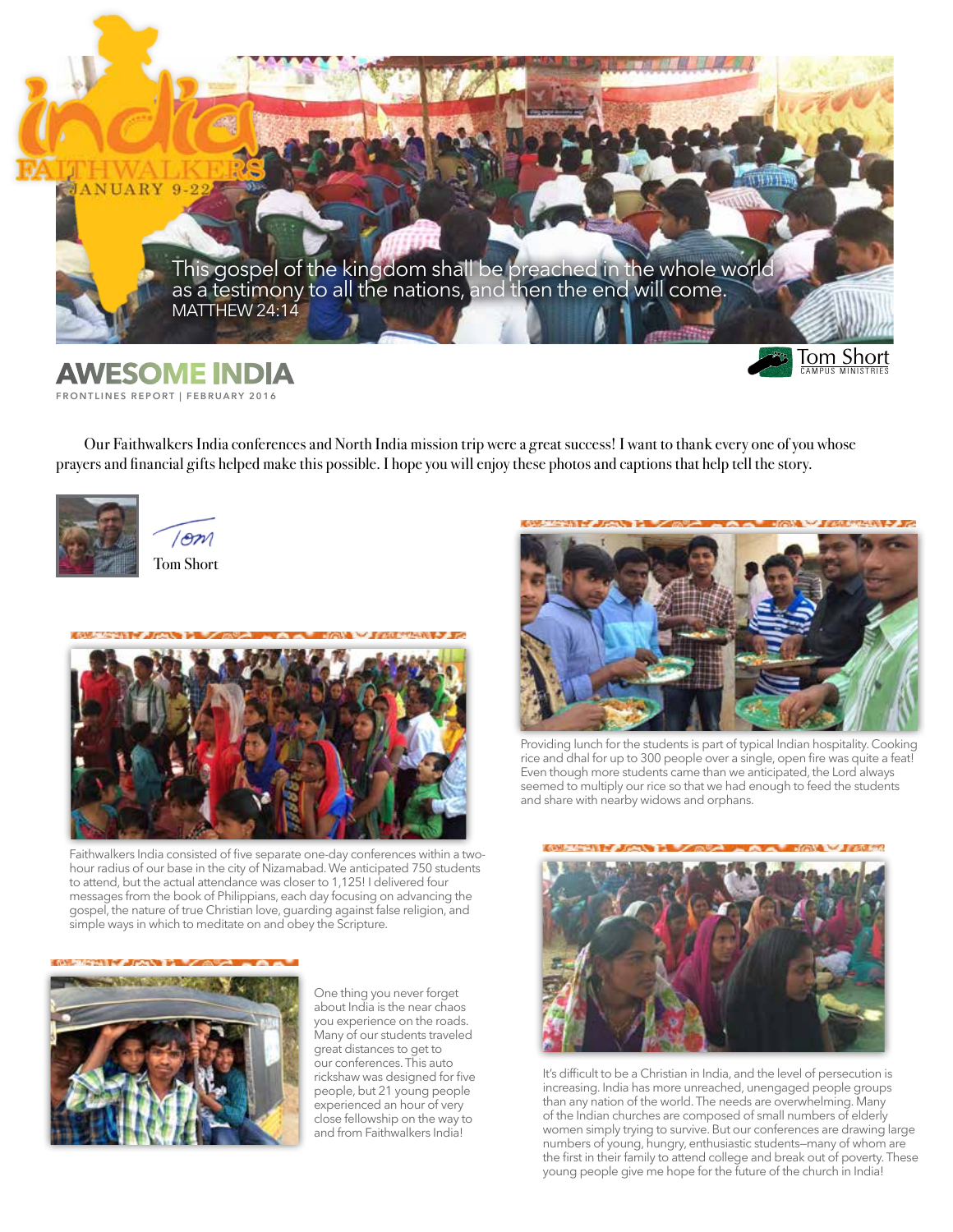

## **FRONTLINES REPORT | FEBRUARY 2016**

Our Faithwalkers India conferences and North India mission trip were a great success! I want to thank every one of you whose prayers and financial gifts helped make this possible. I hope you will enjoy these photos and captions that help tell the story.



 $/$ om Tom Short



Faithwalkers India consisted of five separate one-day conferences within a twohour radius of our base in the city of Nizamabad. We anticipated 750 students to attend, but the actual attendance was closer to 1,125! I delivered four messages from the book of Philippians, each day focusing on advancing the gospel, the nature of true Christian love, guarding against false religion, and simple ways in which to meditate on and obey the Scripture.



One thing you never forget about India is the near chaos you experience on the roads. Many of our students traveled great distances to get to our conferences. This auto rickshaw was designed for five people, but 21 young people experienced an hour of very close fellowship on the way to and from Faithwalkers India!



Providing lunch for the students is part of typical Indian hospitality. Cooking rice and dhal for up to 300 people over a single, open fire was quite a feat! Even though more students came than we anticipated, the Lord always seemed to multiply our rice so that we had enough to feed the students and share with nearby widows and orphans.



It's difficult to be a Christian in India, and the level of persecution is increasing. India has more unreached, unengaged people groups than any nation of the world. The needs are overwhelming. Many of the Indian churches are composed of small numbers of elderly women simply trying to survive. But our conferences are drawing large numbers of young, hungry, enthusiastic students—many of whom are the first in their family to attend college and break out of poverty. These young people give me hope for the future of the church in India!